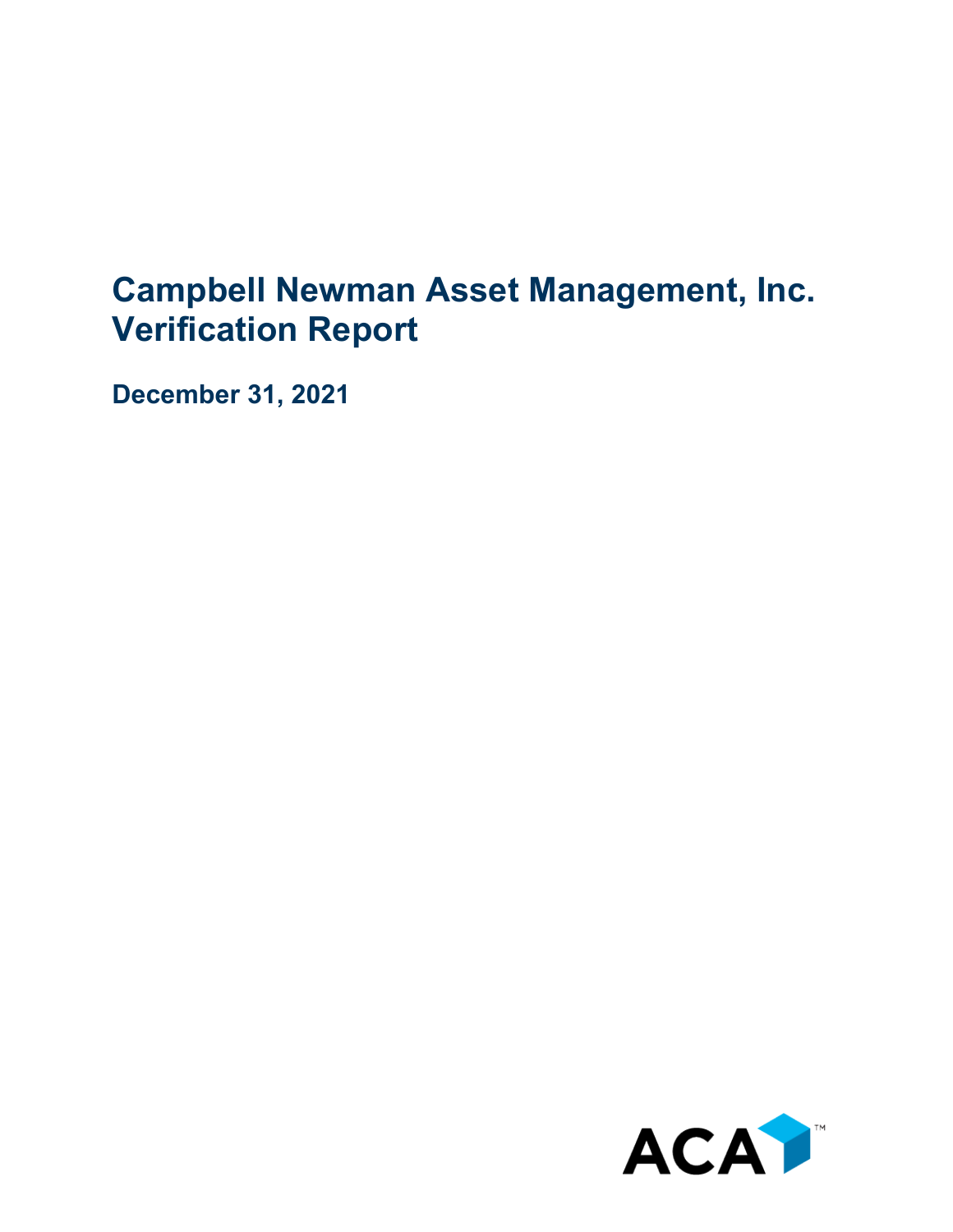## **Campbell Newman Asset Management, Inc. Verification Report**

**December 31, 2021**

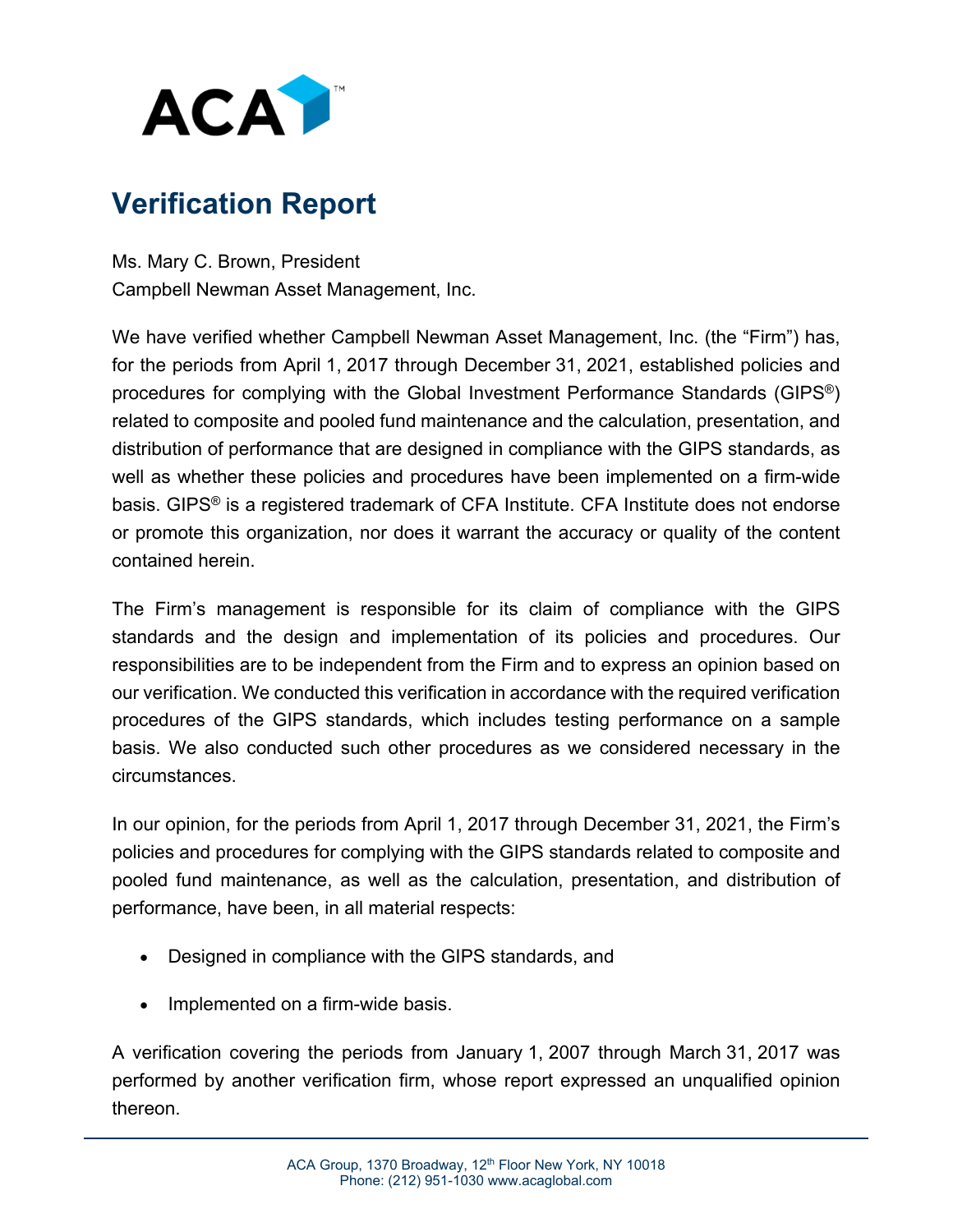

### **Verification Report**

Ms. Mary C. Brown, President Campbell Newman Asset Management, Inc.

We have verified whether Campbell Newman Asset Management, Inc. (the "Firm") has, for the periods from April 1, 2017 through December 31, 2021, established policies and procedures for complying with the Global Investment Performance Standards (GIPS®) related to composite and pooled fund maintenance and the calculation, presentation, and distribution of performance that are designed in compliance with the GIPS standards, as well as whether these policies and procedures have been implemented on a firm-wide basis. GIPS® is a registered trademark of CFA Institute. CFA Institute does not endorse or promote this organization, nor does it warrant the accuracy or quality of the content contained herein.

The Firm's management is responsible for its claim of compliance with the GIPS standards and the design and implementation of its policies and procedures. Our responsibilities are to be independent from the Firm and to express an opinion based on our verification. We conducted this verification in accordance with the required verification procedures of the GIPS standards, which includes testing performance on a sample basis. We also conducted such other procedures as we considered necessary in the circumstances.

In our opinion, for the periods from April 1, 2017 through December 31, 2021, the Firm's policies and procedures for complying with the GIPS standards related to composite and pooled fund maintenance, as well as the calculation, presentation, and distribution of performance, have been, in all material respects:

- Designed in compliance with the GIPS standards, and
- Implemented on a firm-wide basis.

A verification covering the periods from January 1, 2007 through March 31, 2017 was performed by another verification firm, whose report expressed an unqualified opinion thereon.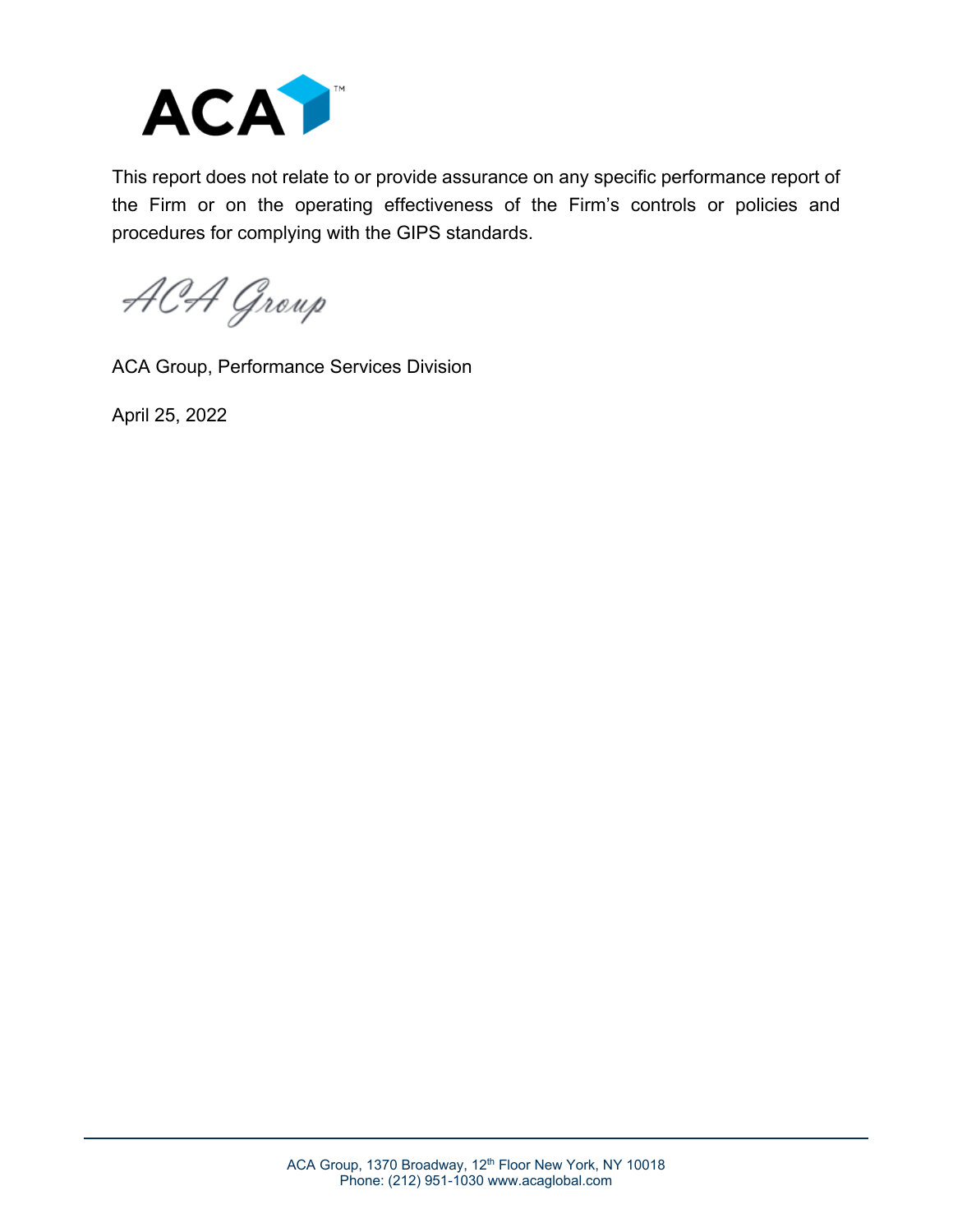

This report does not relate to or provide assurance on any specific performance report of the Firm or on the operating effectiveness of the Firm's controls or policies and procedures for complying with the GIPS standards.

ACA Group

ACA Group, Performance Services Division

April 25, 2022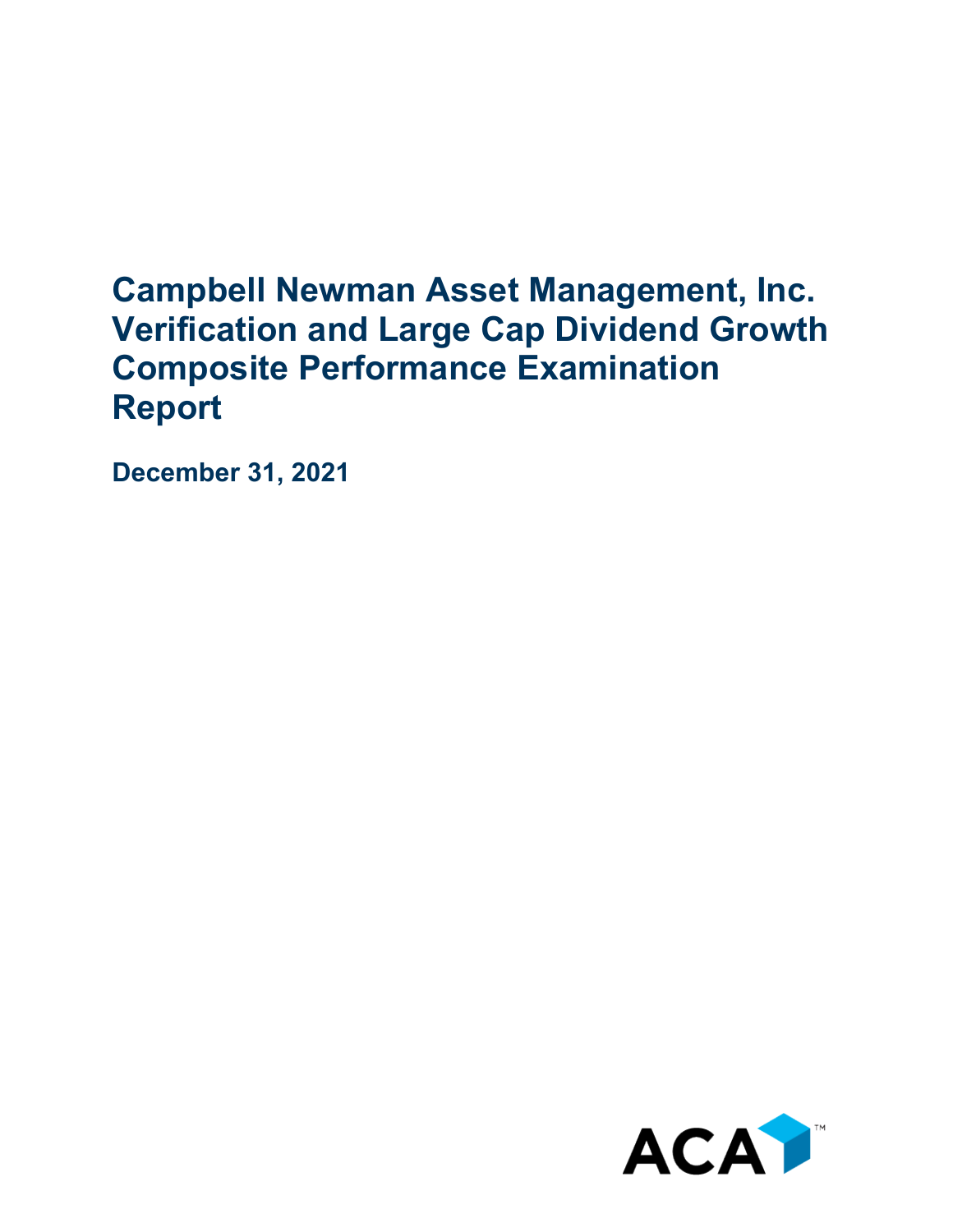## **Campbell Newman Asset Management, Inc. Verification and Large Cap Dividend Growth Composite Performance Examination Report**

**December 31, 2021**

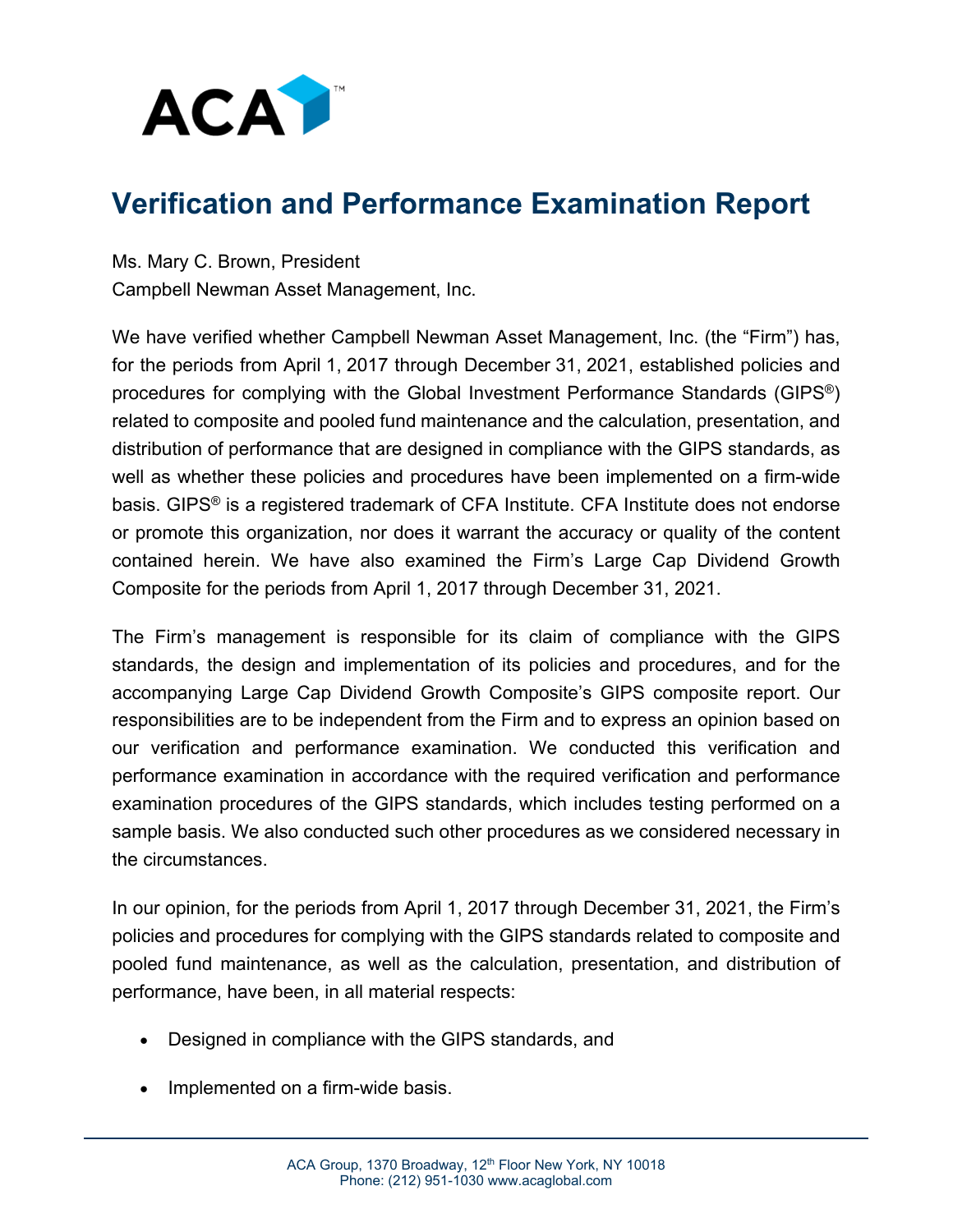

#### **Verification and Performance Examination Report**

Ms. Mary C. Brown, President Campbell Newman Asset Management, Inc.

We have verified whether Campbell Newman Asset Management, Inc. (the "Firm") has, for the periods from April 1, 2017 through December 31, 2021, established policies and procedures for complying with the Global Investment Performance Standards (GIPS®) related to composite and pooled fund maintenance and the calculation, presentation, and distribution of performance that are designed in compliance with the GIPS standards, as well as whether these policies and procedures have been implemented on a firm-wide basis. GIPS® is a registered trademark of CFA Institute. CFA Institute does not endorse or promote this organization, nor does it warrant the accuracy or quality of the content contained herein. We have also examined the Firm's Large Cap Dividend Growth Composite for the periods from April 1, 2017 through December 31, 2021.

The Firm's management is responsible for its claim of compliance with the GIPS standards, the design and implementation of its policies and procedures, and for the accompanying Large Cap Dividend Growth Composite's GIPS composite report. Our responsibilities are to be independent from the Firm and to express an opinion based on our verification and performance examination. We conducted this verification and performance examination in accordance with the required verification and performance examination procedures of the GIPS standards, which includes testing performed on a sample basis. We also conducted such other procedures as we considered necessary in the circumstances.

In our opinion, for the periods from April 1, 2017 through December 31, 2021, the Firm's policies and procedures for complying with the GIPS standards related to composite and pooled fund maintenance, as well as the calculation, presentation, and distribution of performance, have been, in all material respects:

- Designed in compliance with the GIPS standards, and
- Implemented on a firm-wide basis.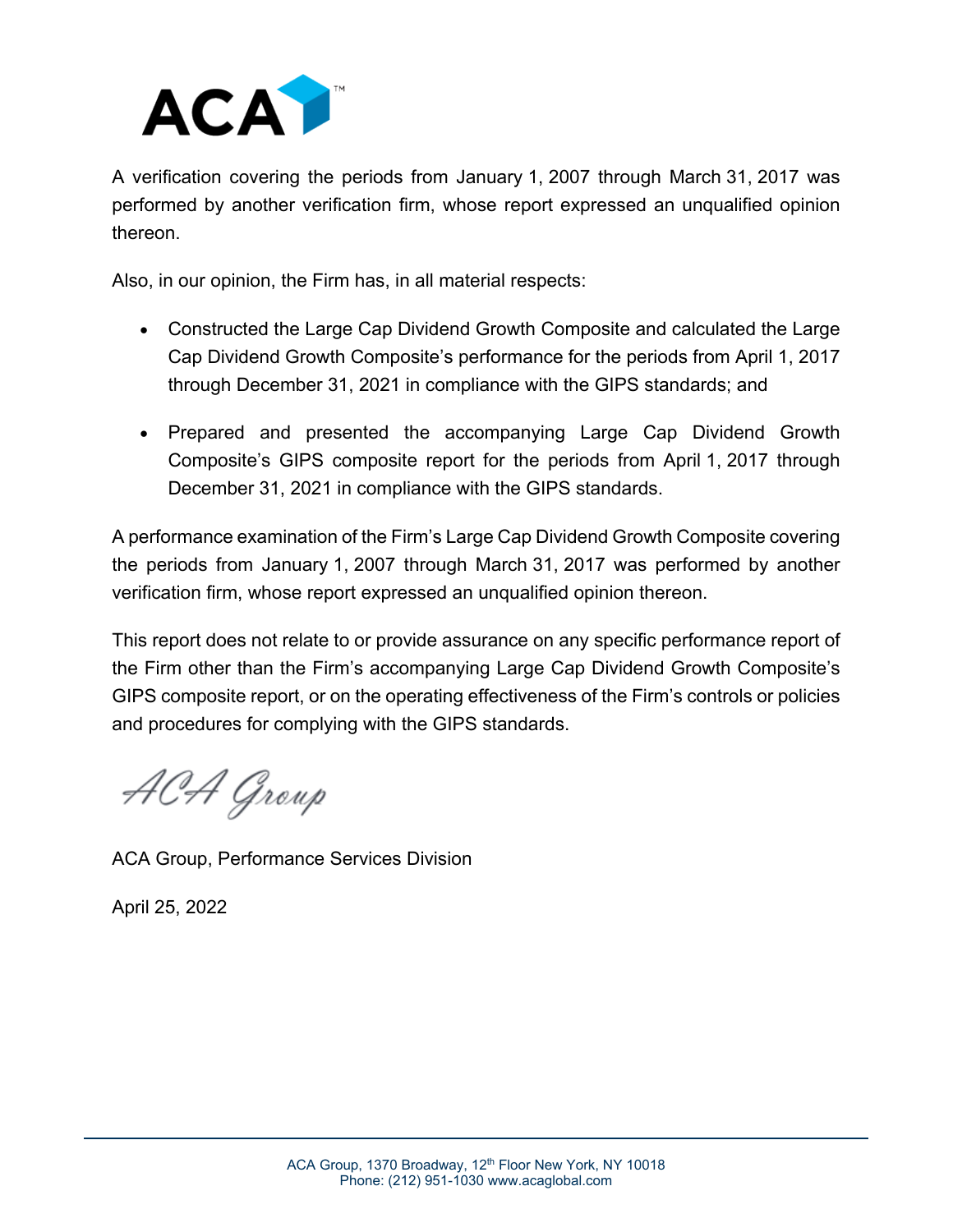

A verification covering the periods from January 1, 2007 through March 31, 2017 was performed by another verification firm, whose report expressed an unqualified opinion thereon.

Also, in our opinion, the Firm has, in all material respects:

- Constructed the Large Cap Dividend Growth Composite and calculated the Large Cap Dividend Growth Composite's performance for the periods from April 1, 2017 through December 31, 2021 in compliance with the GIPS standards; and
- Prepared and presented the accompanying Large Cap Dividend Growth Composite's GIPS composite report for the periods from April 1, 2017 through December 31, 2021 in compliance with the GIPS standards.

A performance examination of the Firm's Large Cap Dividend Growth Composite covering the periods from January 1, 2007 through March 31, 2017 was performed by another verification firm, whose report expressed an unqualified opinion thereon.

This report does not relate to or provide assurance on any specific performance report of the Firm other than the Firm's accompanying Large Cap Dividend Growth Composite's GIPS composite report, or on the operating effectiveness of the Firm's controls or policies and procedures for complying with the GIPS standards.

ACA Group

ACA Group, Performance Services Division

April 25, 2022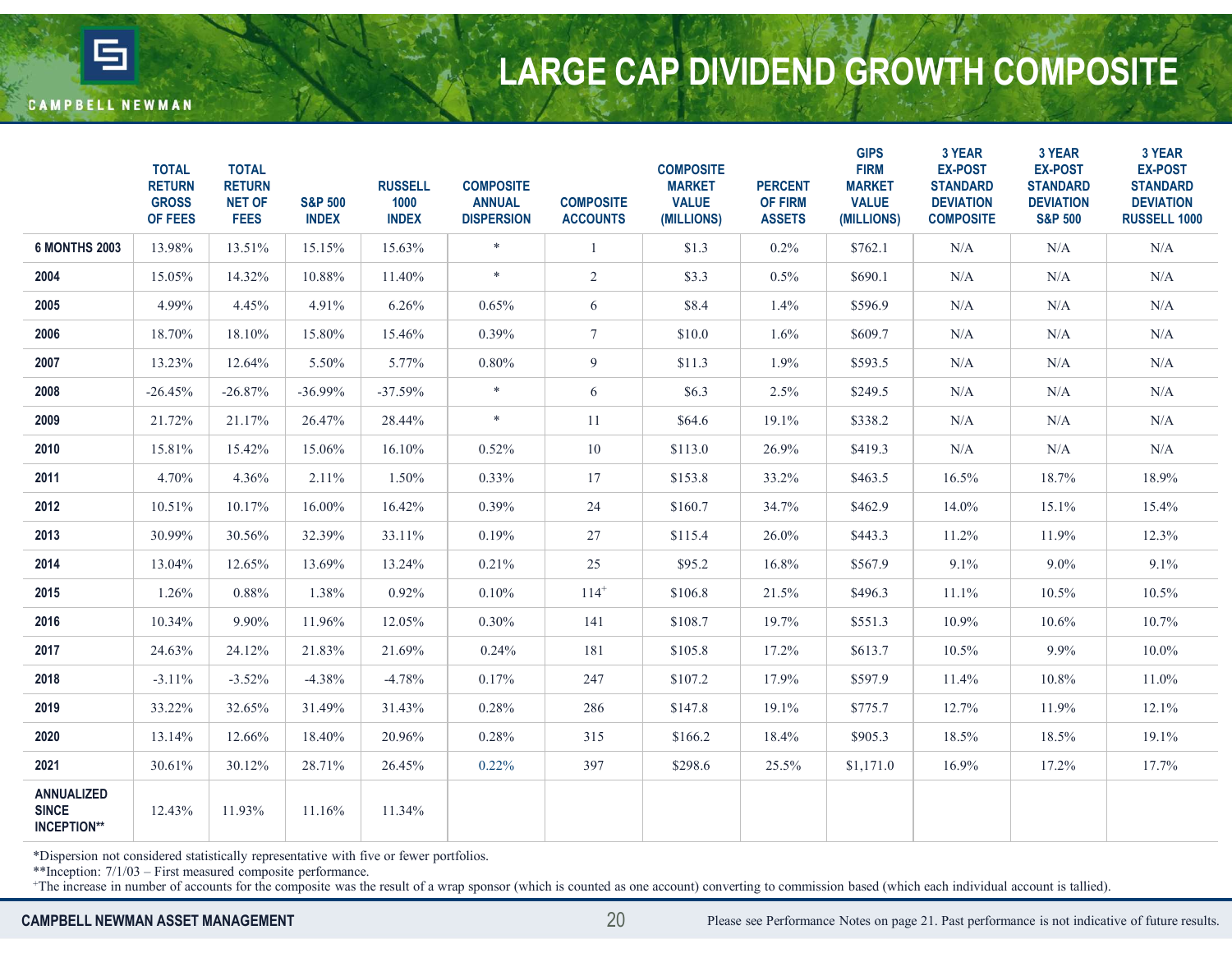

# LARGE CAP DIVIDEND GROWTH COMPOSITE

| <b>CAMPBELL NEWMAN</b>                                  |                                                          |                                                               |                                    |                                        |                                                        |                                     | <b>LARGE CAP DIVIDEND GROWTH COMPOSITE</b>                      |                                                   |                                                                           |                                                                                     |                                                                                       |                                                                                        |
|---------------------------------------------------------|----------------------------------------------------------|---------------------------------------------------------------|------------------------------------|----------------------------------------|--------------------------------------------------------|-------------------------------------|-----------------------------------------------------------------|---------------------------------------------------|---------------------------------------------------------------------------|-------------------------------------------------------------------------------------|---------------------------------------------------------------------------------------|----------------------------------------------------------------------------------------|
|                                                         |                                                          |                                                               |                                    |                                        |                                                        |                                     |                                                                 |                                                   |                                                                           |                                                                                     |                                                                                       |                                                                                        |
|                                                         | <b>TOTAL</b><br><b>RETURN</b><br><b>GROSS</b><br>OF FEES | <b>TOTAL</b><br><b>RETURN</b><br><b>NET OF</b><br><b>FEES</b> | <b>S&amp;P 500</b><br><b>INDEX</b> | <b>RUSSELL</b><br>1000<br><b>INDEX</b> | <b>COMPOSITE</b><br><b>ANNUAL</b><br><b>DISPERSION</b> | <b>COMPOSITE</b><br><b>ACCOUNTS</b> | <b>COMPOSITE</b><br><b>MARKET</b><br><b>VALUE</b><br>(MILLIONS) | <b>PERCENT</b><br><b>OF FIRM</b><br><b>ASSETS</b> | <b>GIPS</b><br><b>FIRM</b><br><b>MARKET</b><br><b>VALUE</b><br>(MILLIONS) | 3 YEAR<br><b>EX-POST</b><br><b>STANDARD</b><br><b>DEVIATION</b><br><b>COMPOSITE</b> | 3 YEAR<br><b>EX-POST</b><br><b>STANDARD</b><br><b>DEVIATION</b><br><b>S&amp;P 500</b> | 3 YEAR<br><b>EX-POST</b><br><b>STANDARD</b><br><b>DEVIATION</b><br><b>RUSSELL 1000</b> |
| <b>6 MONTHS 2003</b>                                    | 13.98%                                                   | 13.51%                                                        | 15.15%                             | 15.63%                                 | $\ast$                                                 |                                     | \$1.3                                                           | $0.2\%$                                           | \$762.1                                                                   | N/A                                                                                 | N/A                                                                                   | N/A                                                                                    |
| 2004                                                    | 15.05%                                                   | 14.32%                                                        | 10.88%                             | 11.40%                                 | $\ast$                                                 | $\overline{2}$                      | \$3.3                                                           | $0.5\%$                                           | \$690.1                                                                   | N/A                                                                                 | N/A                                                                                   | N/A                                                                                    |
| 2005                                                    | 4.99%                                                    | 4.45%                                                         | 4.91%                              | 6.26%                                  | 0.65%                                                  | 6                                   | \$8.4                                                           | $1.4\%$                                           | \$596.9                                                                   | N/A                                                                                 | N/A                                                                                   | N/A                                                                                    |
| 2006                                                    | 18.70%                                                   | 18.10%                                                        | 15.80%                             | 15.46%                                 | $0.39\%$                                               | 7                                   | \$10.0                                                          | 1.6%                                              | \$609.7                                                                   | N/A                                                                                 | N/A                                                                                   | N/A                                                                                    |
| 2007                                                    | 13.23%                                                   | 12.64%                                                        | 5.50%                              | 5.77%                                  | 0.80%                                                  | 9                                   | \$11.3                                                          | 1.9%                                              | \$593.5                                                                   | N/A                                                                                 | N/A                                                                                   | N/A                                                                                    |
| 2008                                                    | $-26.45%$                                                | $-26.87%$                                                     | $-36.99\%$                         | $-37.59%$                              | $\ast$                                                 | 6                                   | \$6.3                                                           | 2.5%                                              | \$249.5                                                                   | N/A                                                                                 | N/A                                                                                   | N/A                                                                                    |
| 2009                                                    | 21.72%                                                   | 21.17%                                                        | 26.47%                             | 28.44%                                 | $\ast$                                                 | 11                                  | \$64.6                                                          | 19.1%                                             | \$338.2                                                                   | N/A                                                                                 | N/A                                                                                   | N/A                                                                                    |
| 2010                                                    | 15.81%                                                   | 15.42%                                                        | 15.06%                             | 16.10%                                 | 0.52%                                                  | 10                                  | \$113.0                                                         | 26.9%                                             | \$419.3                                                                   | N/A                                                                                 | N/A                                                                                   | N/A                                                                                    |
| 2011                                                    | 4.70%                                                    | 4.36%                                                         | 2.11%                              | 1.50%                                  | $0.33\%$                                               | 17                                  | \$153.8                                                         | 33.2%                                             | \$463.5                                                                   | 16.5%                                                                               | 18.7%                                                                                 | 18.9%                                                                                  |
| 2012                                                    | 10.51%                                                   | 10.17%                                                        | 16.00%                             | 16.42%                                 | $0.39\%$                                               | 24                                  | \$160.7                                                         | 34.7%                                             | \$462.9                                                                   | 14.0%                                                                               | 15.1%                                                                                 | 15.4%                                                                                  |
| 2013                                                    | 30.99%                                                   | 30.56%                                                        | 32.39%                             | 33.11%                                 | 0.19%                                                  | 27                                  | \$115.4                                                         | 26.0%                                             | \$443.3                                                                   | 11.2%                                                                               | 11.9%                                                                                 | 12.3%                                                                                  |
| 2014                                                    | 13.04%                                                   | 12.65%                                                        | 13.69%                             | 13.24%                                 | 0.21%                                                  | 25                                  | \$95.2                                                          | 16.8%                                             | \$567.9                                                                   | 9.1%                                                                                | $9.0\%$                                                                               | 9.1%                                                                                   |
| 2015                                                    | 1.26%                                                    | 0.88%                                                         | 1.38%                              | 0.92%                                  | 0.10%                                                  | $114^{+}$                           | \$106.8                                                         | 21.5%                                             | \$496.3                                                                   | $11.1\%$                                                                            | 10.5%                                                                                 | 10.5%                                                                                  |
| 2016                                                    | 10.34%                                                   | 9.90%                                                         | 11.96%                             | 12.05%                                 | $0.30\%$                                               | 141                                 | \$108.7                                                         | 19.7%                                             | \$551.3                                                                   | 10.9%                                                                               | $10.6\%$                                                                              | 10.7%                                                                                  |
| 2017                                                    | 24.63%                                                   | 24.12%                                                        | 21.83%                             | 21.69%                                 | 0.24%                                                  | 181                                 | \$105.8                                                         | 17.2%                                             | \$613.7                                                                   | $10.5\%$                                                                            | 9.9%                                                                                  | $10.0\%$                                                                               |
| 2018                                                    | $-3.11%$                                                 | $-3.52%$                                                      | $-4.38%$                           | $-4.78%$                               | 0.17%                                                  | 247                                 | \$107.2                                                         | 17.9%                                             | \$597.9                                                                   | 11.4%                                                                               | 10.8%                                                                                 | 11.0%                                                                                  |
| 2019                                                    | 33.22%                                                   | 32.65%                                                        | 31.49%                             | 31.43%                                 | 0.28%                                                  | 286                                 | \$147.8                                                         | 19.1%                                             | \$775.7                                                                   | 12.7%                                                                               | 11.9%                                                                                 | 12.1%                                                                                  |
| 2020                                                    | 13.14%                                                   | 12.66%                                                        | 18.40%                             | 20.96%                                 | 0.28%                                                  | 315                                 | \$166.2                                                         | 18.4%                                             | \$905.3                                                                   | 18.5%                                                                               | 18.5%                                                                                 | 19.1%                                                                                  |
| 2021                                                    | 30.61%                                                   | 30.12%                                                        | 28.71%                             | 26.45%                                 | $0.22\%$                                               | 397                                 | \$298.6                                                         | 25.5%                                             | \$1,171.0                                                                 | 16.9%                                                                               | 17.2%                                                                                 | 17.7%                                                                                  |
| <b>ANNUALIZED</b><br><b>SINCE</b><br><b>INCEPTION**</b> | 12.43%                                                   | 11.93%                                                        | 11.16%                             | 11.34%                                 |                                                        |                                     |                                                                 |                                                   |                                                                           |                                                                                     |                                                                                       |                                                                                        |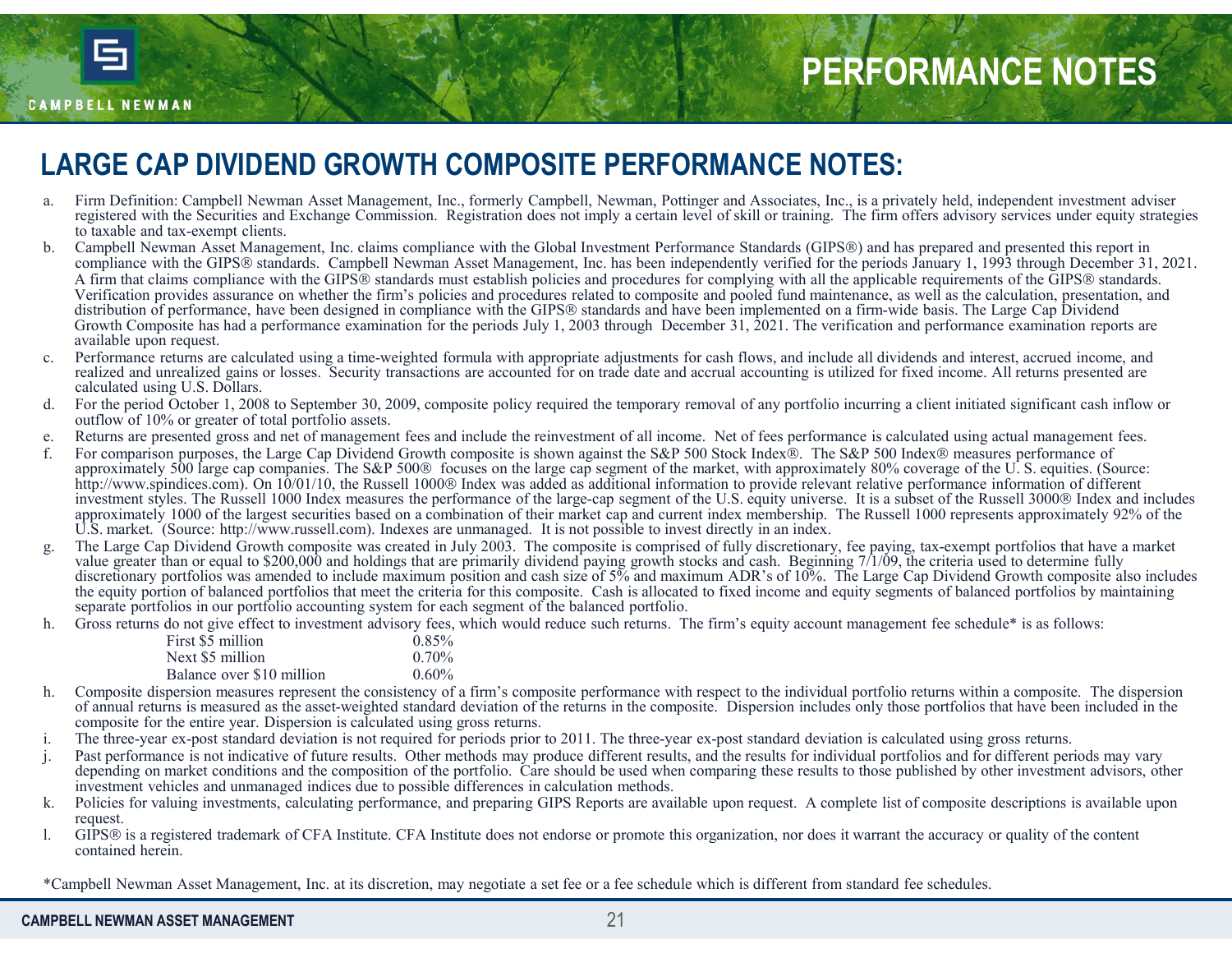

# PERFORMANCE NOTES

#### LARGE CAP DIVIDEND GROWTH COMPOSITE PERFORMANCE NOTES:

- registered with the Securities and Exchange Commission. Registration does not imply a certain level of skill or training. The firm offers advisory services under equity strategies to taxable and tax-exempt clients.
- **EXELUMENT COMPOSITE PERFORMANCE NOTES:**<br> **ARGE CAP DIVIDEND GROWTH COMPOSITE PERFORMANCE NOTES:**<br> **ARGE CAP DIVIDEND GROWTH COMPOSITE PERFORMANCE NOTES:**<br>
trajectoric Campbell Newman Asset Management, Inc., formerly Campb **EXERT OR MANCE NOTES**<br> **ARGE CAP DIVIDEND GROWTH COMPOSITE PERFORMANCE NOTES:**<br> **ARGE CAP DIVIDEND GROWTH COMPOSITE PERFORMANCE NOTES:**<br>
The Definition: Campbell Newman Asset Management, Inc. formerly Campbell, Newman, Po **COMPRESS Standards.** Campbell Newman Asset Management, Inc., formerly Campbell, Newman, Pottinger and Associates, Inc., is a privately held, independent investment adviser with the GIPS standards. Campbell Newman Asset Ma A firm that claims compliance with the GIPS® standards must establish policies and procedures for complying with all the applicable requirements of the GIPS® standards.<br>Verification provides assurance on whether the firm's **EXERT ORMANCE NOTES**<br> **REGE CAP DIVIDEND GROWTH COMPOSITE PERFORMANCE NOTES:**<br>
From Definition Campbell Newman Asset Management, Inc., formely Campbell, Newman, Pottinger and Associates, Inc., is a privately held, indepen distribution of performance, have been designed in compliance with the GIPS® standards and have been implemented on a firm-wide basis. The Large Cap Dividend Growth Composite has had a performance examination for the perio FOR THE DROWERT COMPOSITE PERFORMANCE NOTES:<br>
From Definition: Complex Newstan Asset Management, Inc., formerly Complex). Newstan, Positinger and Associates, Inc., is a privately held, independent investment of viscor-<br>
Co available upon request. CRIFORMANCE NOTES<br>
REPRETORMANCE INTERNATIONAL COMPOSITE PERFORMANCE NOTES:<br>
Trip DEMONS IN COMPOSITE ARE ARTICULATED SECTION AND CONTENT COMPOSITE AREA CONTENT COMPOSITE AND THE SECTION TO A THEOREM AND THE SECTION AND CO **EXEREM SERVIE AND THE SERVIE OR ANTISED AND THE SERVIE OCCUPATION CONTROL INTERNATIONAL CONTROL INTERNATIONAL CONTROL INTERNATIONAL CONTROL INTERNATIONAL CONTROL INTERNATIONAL CONTROL INTERNATIONAL CONTROL INTERNATIONAL C** e. Returns are presented gross and net of management fees and include the reinvestment of all income. Net of fees performance is calculated using actual management fees. FERE OR WANCE NOTES<br>
A FRO E CAP DIVIDEND GROWTH COMPOSITE PERFORMANCE NOTES;<br>
A FRO BOSSIMIZE COMPOSITE AND CONTROLL TO CONTROLL TO THE CONTROLL TO THE CONTROLL TO THE CONTROLL TO THE CONTROLL TO THE CONTROLL TO THE CONTR **PERFORMANCE NOTES**<br> **REE CAP DIVIDEND GROWTH COMPOSITE PERFORMANCE NOTES:**<br> **ETHICAL CONFORMANCE SECONDANCE SECONDANCE SECONDANCE SECONDANCE SECOND INTERFERENCE AND THE SECOND IN EXPRESS CAMPANCE INTERFERENCE AND INTERFER** LARGE CAP DIVIDEND GROWTH COMPOSITE PERFORMANCE NOTES;<br>
The Definition Completed interactional descriptions in  $\frac{1}{2}$  and the market portfolios that is a create portfolios that is a create portfolios that is a strength From the control of the control of the second and behavior of the method of the based of the control of the include material includes the control of the second includes the control of the control of the second to include m h. Gross returns do not a state of the state of the state of the liberal methods of the state of the state of the state of the state of the state of the state of the state of the state of the state of the state of the sta man Asset Management, Inc. claims compliance with the Global Investment Performance Standards (GIPS50) and has compled Newman Asset Management, Inc. has been independently verified for the periods J<br>im second Management, In the GIFS® standards. Campbell Newman Asset Management, Inc. has been independently verified for the periods Jivest<br>ims compliance with the GIFS® standards must establish policies and procedures for complying with all t
- realized and unrealized gains or losses. Security transactions are accounted for on trade date and accrual accounting is utilized for fixed income. All returns presented are calculated using U.S. Dollars.
- outflow of 10% or greater of total portfolio assets.
- 
- http://www.spindices.com). On 10/01/10, the Russell 1000<sup>®</sup> Index was added as additional information to provide relevant relative performance information of different investment styles. The Russell 1000 Index measures the performance of the large-cap segment of the U.S. equity universe. It is a subset of the Russell 3000 Index and includes approximately 1000 of the largest securities based on a combination of their market cap and current index membership. The Russell 1000 represents approximately 92% of the U.S. market. (Source: http://www.russell.com). Indexes are unmanaged. It is not possible to invest directly in an index. ims compliance with the GIPS® standards must establish policies and procedures for complying with all the applicable performance, the system and the applicable performance of the composite standards and have been implement Verification measures consistency in when the firm's policies and products related to composite and products and products and products and products and products are equilible to the consistency of a first equilible perfor scalar three-year ex-post standard deviation in the three-year ex-positive proposition in the control of the most standard deviation in the control of the most standard deviation in the control of the control of the contro reformance per easies and the set of the set of the set of the results of the results. Other methods may connect the results of the period Universe interaction and the results of the results. Other methods may be a set of Received Chocks 1, 2008 Sapach 2008 Sapach 2008 Sapach 2008 Sapach 2008 Sapach 2008 Sapach 2008 Sapach 2008 Sapach 2008 Sapach 2008 Sapach 2008 Sapach 2008 Sapach 2008 Sapach 2008 Sapach 2008 Sapach 2008 Sapach 2008 Sapac External on the formal content of the content of the content of the content of the content or a registered trademark of the content of the content or the content or the content of the content of the content or the content
- value greater than or equal to \$200,000 and holdings that are primarily dividend paying growth stocks and cash. Beginning 7/1/09, the criteria used to determine fully discretionary portfolios was amended to include maximum the equity portion of balanced portfolios that meet the criteria for this composite. Cash is allocated to fixed income and equity segments of balanced portfolios by maintaining separate portfolios in our portfolio accounting system for each segment of the balanced portfolio.
- 

| First \$5 million         | $0.85\%$ |
|---------------------------|----------|
| Next \$5 million          | $0.70\%$ |
| Balance over \$10 million | $0.60\%$ |
|                           |          |

- of annual returns is measured as the asset-weighted standard deviation of the returns in the composite. Dispersion includes only those portfolios that have been included in the composite for the entire year. Dispersion is calculated using gross returns.
- 
- depending on market conditions and the composition of the portfolio. Care should be used when comparing these results to those published by other investment advisors, other investment vehicles and unmanaged indices due to possible differences in calculation methods.
- request.
- contained herein.

\*Campbell Newman Asset Management, Inc. at its discretion, may negotiate a set fee or a fee schedule which is different from standard fee schedules.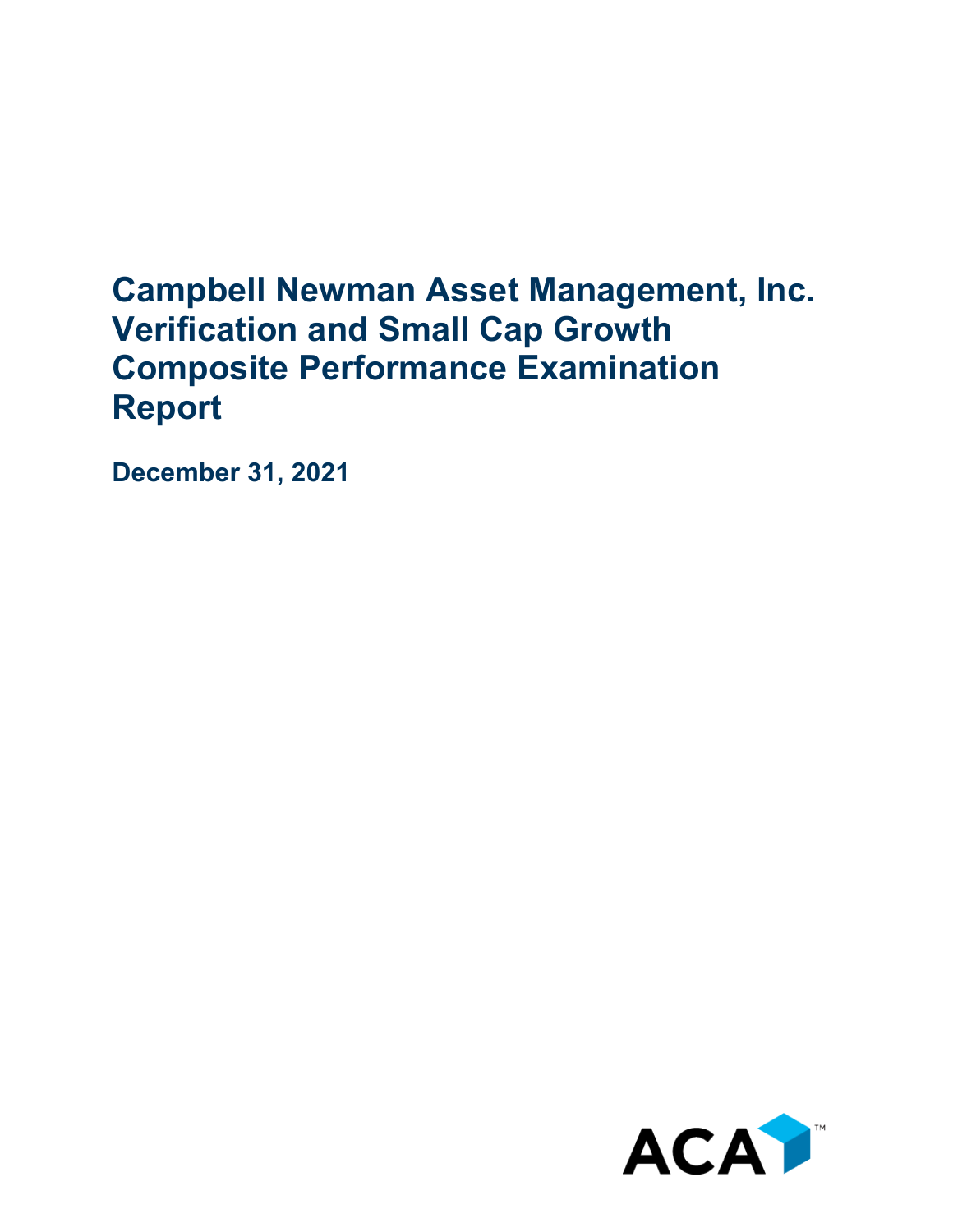## **Campbell Newman Asset Management, Inc. Verification and Small Cap Growth Composite Performance Examination Report**

**December 31, 2021**

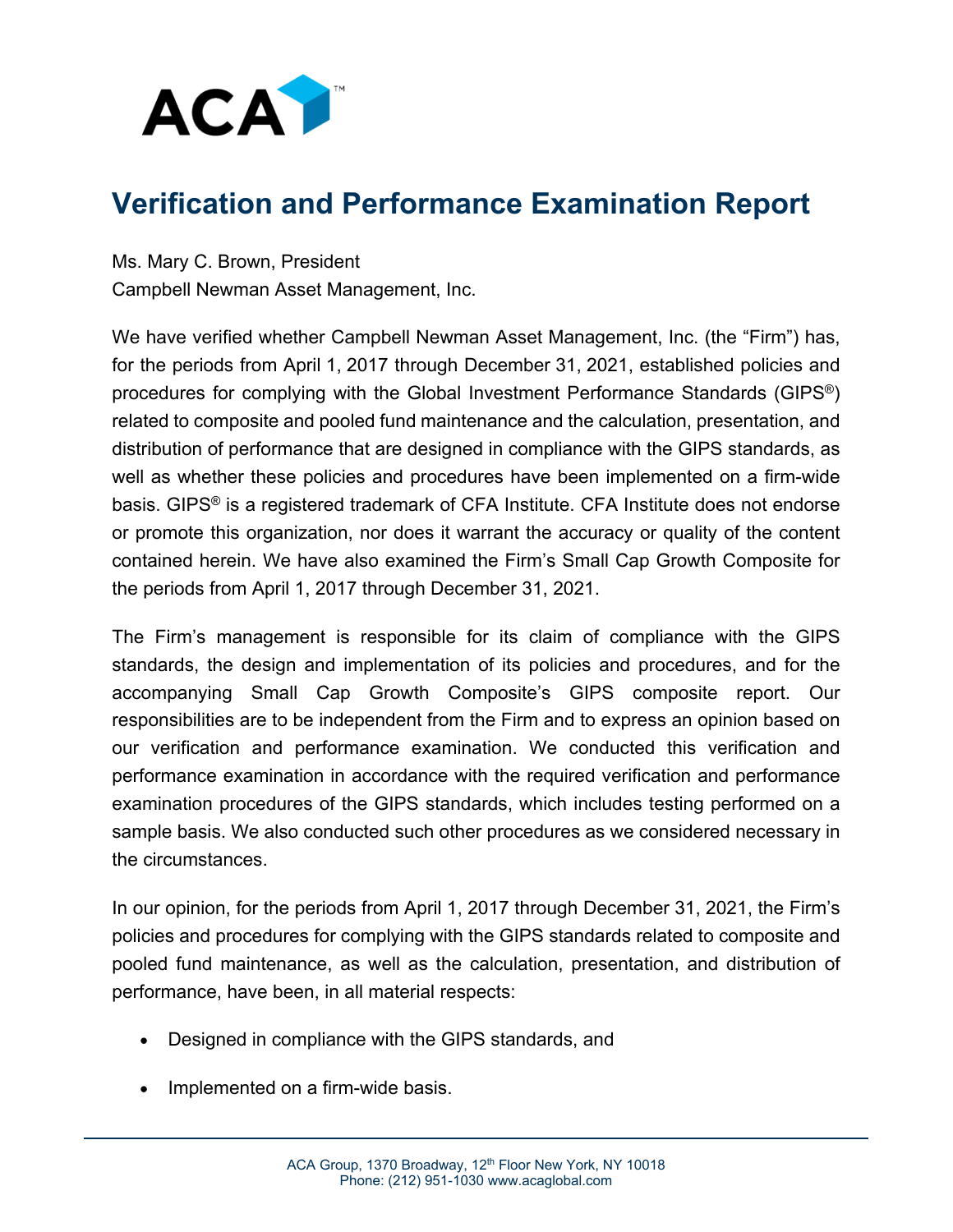

#### **Verification and Performance Examination Report**

Ms. Mary C. Brown, President Campbell Newman Asset Management, Inc.

We have verified whether Campbell Newman Asset Management, Inc. (the "Firm") has, for the periods from April 1, 2017 through December 31, 2021, established policies and procedures for complying with the Global Investment Performance Standards (GIPS®) related to composite and pooled fund maintenance and the calculation, presentation, and distribution of performance that are designed in compliance with the GIPS standards, as well as whether these policies and procedures have been implemented on a firm-wide basis. GIPS® is a registered trademark of CFA Institute. CFA Institute does not endorse or promote this organization, nor does it warrant the accuracy or quality of the content contained herein. We have also examined the Firm's Small Cap Growth Composite for the periods from April 1, 2017 through December 31, 2021.

The Firm's management is responsible for its claim of compliance with the GIPS standards, the design and implementation of its policies and procedures, and for the accompanying Small Cap Growth Composite's GIPS composite report. Our responsibilities are to be independent from the Firm and to express an opinion based on our verification and performance examination. We conducted this verification and performance examination in accordance with the required verification and performance examination procedures of the GIPS standards, which includes testing performed on a sample basis. We also conducted such other procedures as we considered necessary in the circumstances.

In our opinion, for the periods from April 1, 2017 through December 31, 2021, the Firm's policies and procedures for complying with the GIPS standards related to composite and pooled fund maintenance, as well as the calculation, presentation, and distribution of performance, have been, in all material respects:

- Designed in compliance with the GIPS standards, and
- Implemented on a firm-wide basis.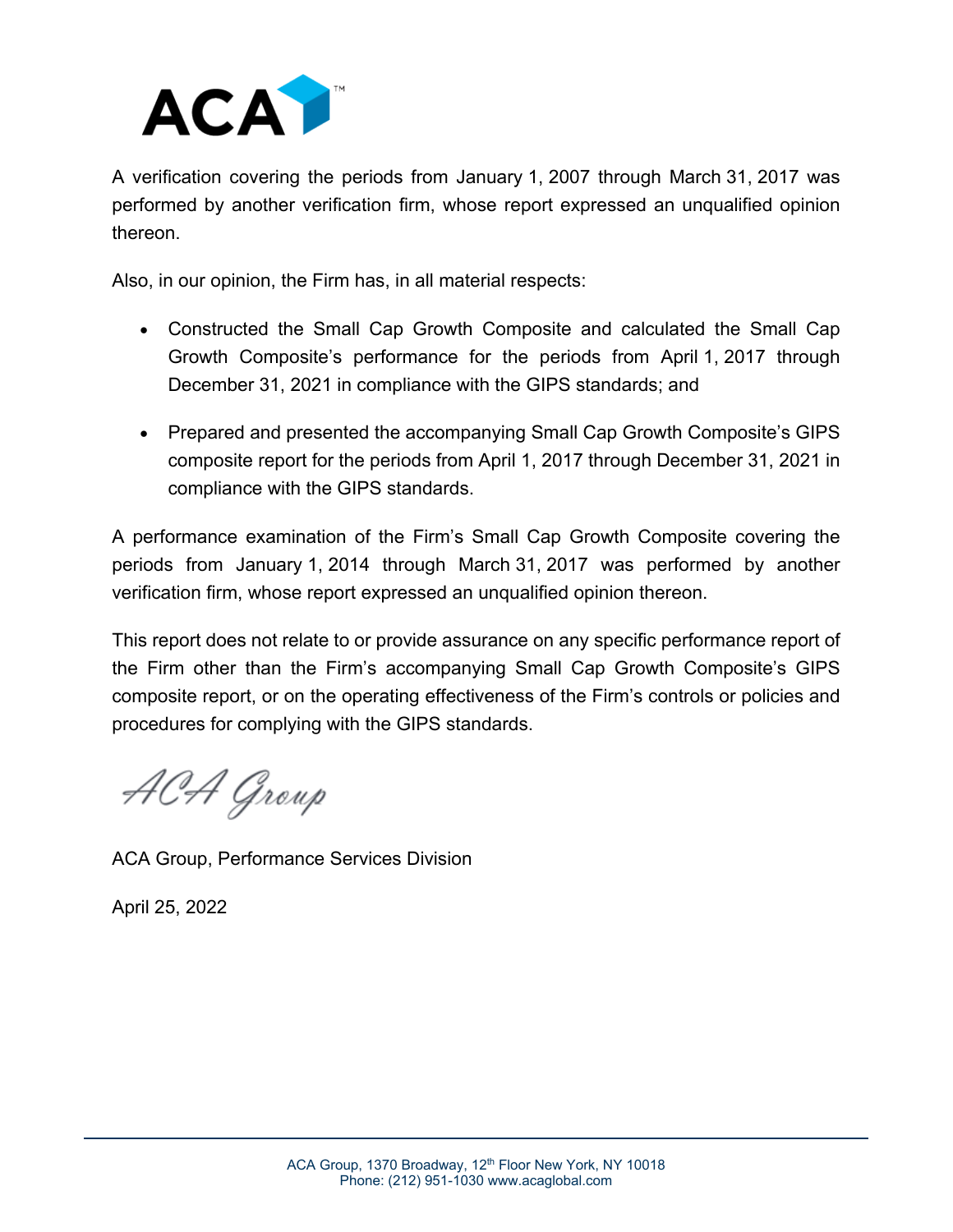

A verification covering the periods from January 1, 2007 through March 31, 2017 was performed by another verification firm, whose report expressed an unqualified opinion thereon.

Also, in our opinion, the Firm has, in all material respects:

- Constructed the Small Cap Growth Composite and calculated the Small Cap Growth Composite's performance for the periods from April 1, 2017 through December 31, 2021 in compliance with the GIPS standards; and
- Prepared and presented the accompanying Small Cap Growth Composite's GIPS composite report for the periods from April 1, 2017 through December 31, 2021 in compliance with the GIPS standards.

A performance examination of the Firm's Small Cap Growth Composite covering the periods from January 1, 2014 through March 31, 2017 was performed by another verification firm, whose report expressed an unqualified opinion thereon.

This report does not relate to or provide assurance on any specific performance report of the Firm other than the Firm's accompanying Small Cap Growth Composite's GIPS composite report, or on the operating effectiveness of the Firm's controls or policies and procedures for complying with the GIPS standards.

ACA Group

ACA Group, Performance Services Division

April 25, 2022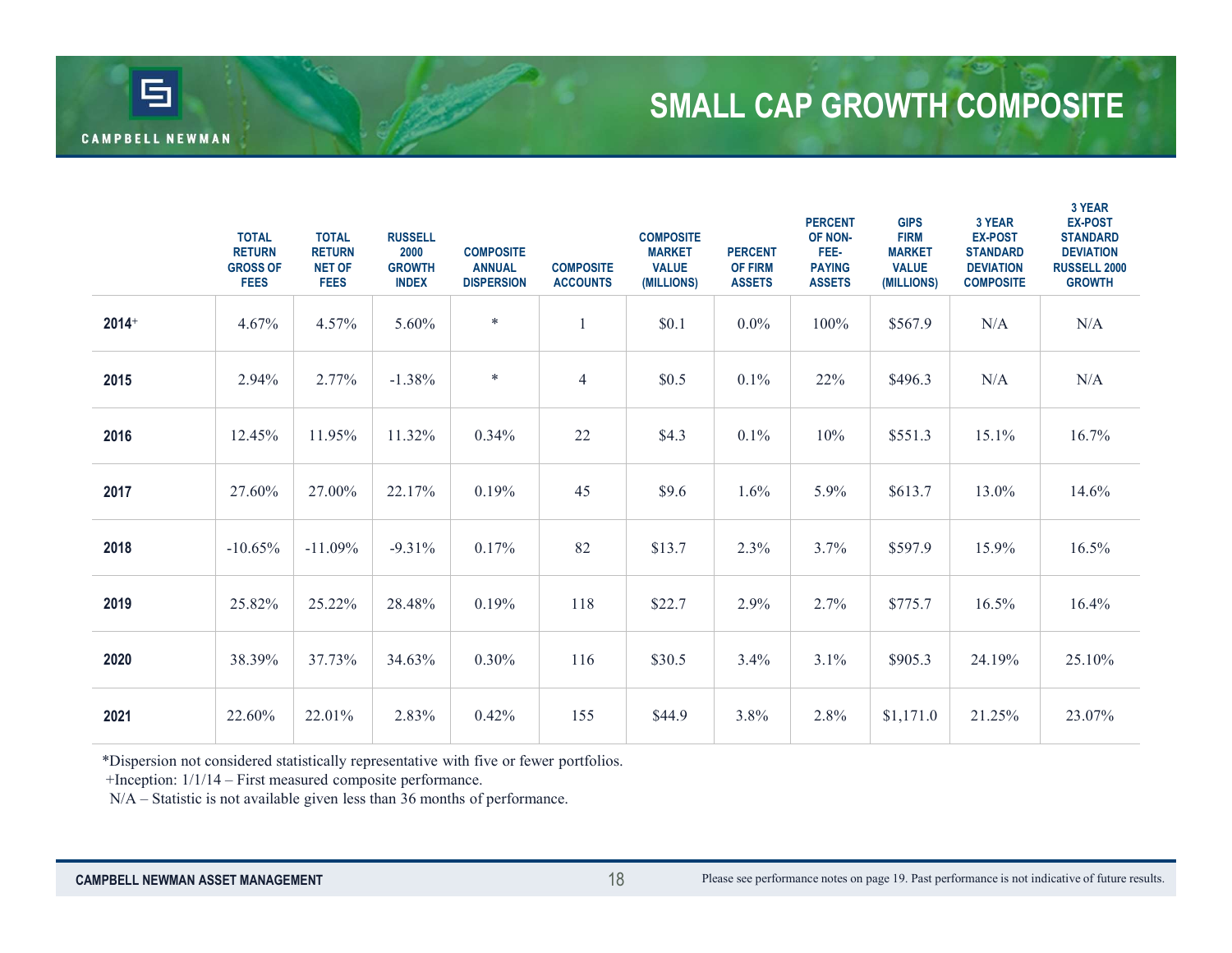# SMALL CAP GROWTH COMPOSITE

| 百                     |                                                                                                                                                                                                                                    |                                                               |                                                         |                                                        |                                     |                                                                 |                                                   |                                                                     |                                                                           | <b>SMALL CAP GROWTH COMPOSITE</b>                                                   |                                                                                                         |
|-----------------------|------------------------------------------------------------------------------------------------------------------------------------------------------------------------------------------------------------------------------------|---------------------------------------------------------------|---------------------------------------------------------|--------------------------------------------------------|-------------------------------------|-----------------------------------------------------------------|---------------------------------------------------|---------------------------------------------------------------------|---------------------------------------------------------------------------|-------------------------------------------------------------------------------------|---------------------------------------------------------------------------------------------------------|
| <b>AMPBELL NEWMAN</b> |                                                                                                                                                                                                                                    |                                                               |                                                         |                                                        |                                     |                                                                 |                                                   |                                                                     |                                                                           |                                                                                     |                                                                                                         |
|                       | <b>TOTAL</b><br><b>RETURN</b><br><b>GROSS OF</b><br><b>FEES</b>                                                                                                                                                                    | <b>TOTAL</b><br><b>RETURN</b><br><b>NET OF</b><br><b>FEES</b> | <b>RUSSELL</b><br>2000<br><b>GROWTH</b><br><b>INDEX</b> | <b>COMPOSITE</b><br><b>ANNUAL</b><br><b>DISPERSION</b> | <b>COMPOSITE</b><br><b>ACCOUNTS</b> | <b>COMPOSITE</b><br><b>MARKET</b><br><b>VALUE</b><br>(MILLIONS) | <b>PERCENT</b><br><b>OF FIRM</b><br><b>ASSETS</b> | <b>PERCENT</b><br>OF NON-<br>FEE-<br><b>PAYING</b><br><b>ASSETS</b> | <b>GIPS</b><br><b>FIRM</b><br><b>MARKET</b><br><b>VALUE</b><br>(MILLIONS) | 3 YEAR<br><b>EX-POST</b><br><b>STANDARD</b><br><b>DEVIATION</b><br><b>COMPOSITE</b> | 3 YEAR<br><b>EX-POST</b><br><b>STANDARD</b><br><b>DEVIATION</b><br><b>RUSSELL 2000</b><br><b>GROWTH</b> |
| $2014+$               | 4.67%                                                                                                                                                                                                                              | 4.57%                                                         | 5.60%                                                   | $\ast$                                                 | $\overline{1}$                      | \$0.1                                                           | $0.0\%$                                           | 100%                                                                | \$567.9                                                                   | N/A                                                                                 | N/A                                                                                                     |
| 2015                  | 2.94%                                                                                                                                                                                                                              | 2.77%                                                         | $-1.38%$                                                | $\ast$                                                 | $\overline{4}$                      | \$0.5                                                           | 0.1%                                              | 22%                                                                 | \$496.3                                                                   | N/A                                                                                 | N/A                                                                                                     |
| 2016                  | 12.45%                                                                                                                                                                                                                             | 11.95%                                                        | 11.32%                                                  | 0.34%                                                  | 22                                  | \$4.3                                                           | 0.1%                                              | 10%                                                                 | \$551.3                                                                   | 15.1%                                                                               | 16.7%                                                                                                   |
| 2017                  | 27.60%                                                                                                                                                                                                                             | 27.00%                                                        | 22.17%                                                  | 0.19%                                                  | 45                                  | \$9.6                                                           | 1.6%                                              | 5.9%                                                                | \$613.7                                                                   | 13.0%                                                                               | 14.6%                                                                                                   |
| 2018                  | $-10.65%$                                                                                                                                                                                                                          | $-11.09%$                                                     | $-9.31%$                                                | 0.17%                                                  | 82                                  | \$13.7                                                          | 2.3%                                              | 3.7%                                                                | \$597.9                                                                   | 15.9%                                                                               | 16.5%                                                                                                   |
| 2019                  | 25.82%                                                                                                                                                                                                                             | 25.22%                                                        | 28.48%                                                  | 0.19%                                                  | 118                                 | \$22.7                                                          | 2.9%                                              | 2.7%                                                                | \$775.7                                                                   | 16.5%                                                                               | 16.4%                                                                                                   |
| 2020                  | 38.39%                                                                                                                                                                                                                             | 37.73%                                                        | 34.63%                                                  | $0.30\%$                                               | 116                                 | \$30.5                                                          | 3.4%                                              | 3.1%                                                                | \$905.3                                                                   | 24.19%                                                                              | 25.10%                                                                                                  |
| 2021                  | 22.60%                                                                                                                                                                                                                             | 22.01%                                                        | 2.83%                                                   | 0.42%                                                  | 155                                 | \$44.9                                                          | 3.8%                                              | 2.8%                                                                | \$1,171.0                                                                 | 21.25%                                                                              | 23.07%                                                                                                  |
|                       | *Dispersion not considered statistically representative with five or fewer portfolios.<br>+Inception: 1/1/14 - First measured composite performance.<br>N/A - Statistic is not available given less than 36 months of performance. |                                                               |                                                         |                                                        |                                     |                                                                 |                                                   |                                                                     |                                                                           |                                                                                     |                                                                                                         |